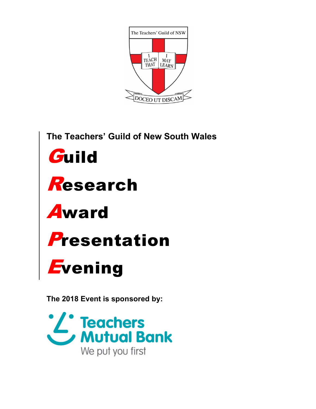

The Teachers' Guild of New South Wales Guild Research **Award** Presentation *\_\_\_\_\_\_\_*<br>*E*vening

The 2018 Event is sponsored by:

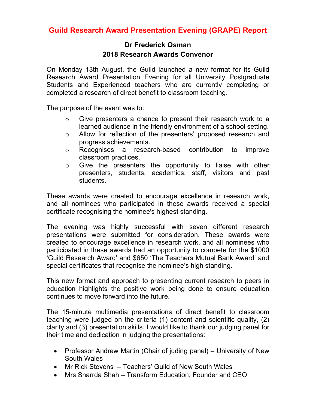## **Guild Research Award Presentation Evening (GRAPE) Report**

## **Dr Frederick Osman 2018 Research Awards Convenor**

On Monday 13th August, the Guild launched a new format for its Guild Research Award Presentation Evening for all University Postgraduate Students and Experienced teachers who are currently completing or completed a research of direct benefit to classroom teaching.

The purpose of the event was to:

- o Give presenters a chance to present their research work to a learned audience in the friendly environment of a school setting.
- o Allow for reflection of the presenters' proposed research and progress achievements.
- o Recognises a research-based contribution to improve classroom practices.
- o Give the presenters the opportunity to liaise with other presenters, students, academics, staff, visitors and past students.

These awards were created to encourage excellence in research work, and all nominees who participated in these awards received a special certificate recognising the nominee's highest standing.

The evening was highly successful with seven different research presentations were submitted for consideration. These awards were created to encourage excellence in research work, and all nominees who participated in these awards had an opportunity to compete for the \$1000 'Guild Research Award' and \$650 'The Teachers Mutual Bank Award' and special certificates that recognise the nominee's high standing.

This new format and approach to presenting current research to peers in education highlights the positive work being done to ensure education continues to move forward into the future.

The 15-minute multimedia presentations of direct benefit to classroom teaching were judged on the criteria (1) content and scientific quality, (2) clarity and (3) presentation skills. I would like to thank our judging panel for their time and dedication in judging the presentations:

- Professor Andrew Martin (Chair of juding panel) University of New South Wales
- Mr Rick Stevens Teachers' Guild of New South Wales
- Mrs Sharrda Shah Transform Education, Founder and CEO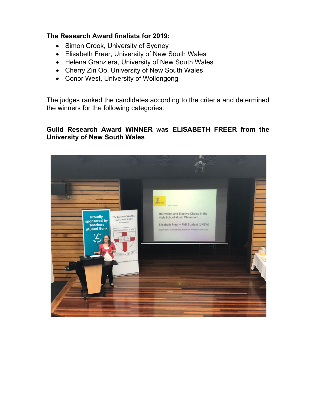## **The Research Award finalists for 2019:**

- Simon Crook, University of Sydney
- Elisabeth Freer, University of New South Wales
- Helena Granziera, University of New South Wales
- Cherry Zin Oo, University of New South Wales
- Conor West, University of Wollongong

The judges ranked the candidates according to the criteria and determined the winners for the following categories:

## **Guild Research Award WINNER** w**as ELISABETH FREER from the University of New South Wales**